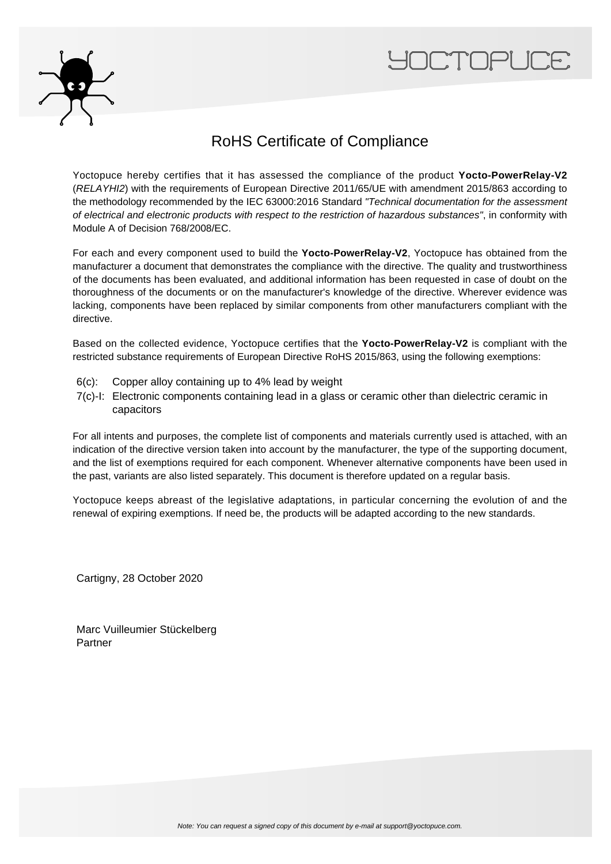



## RoHS Certificate of Compliance

Yoctopuce hereby certifies that it has assessed the compliance of the product **Yocto-PowerRelay-V2** (RELAYHI2) with the requirements of European Directive 2011/65/UE with amendment 2015/863 according to the methodology recommended by the IEC 63000:2016 Standard "Technical documentation for the assessment of electrical and electronic products with respect to the restriction of hazardous substances", in conformity with Module A of Decision 768/2008/EC.

For each and every component used to build the **Yocto-PowerRelay-V2**, Yoctopuce has obtained from the manufacturer a document that demonstrates the compliance with the directive. The quality and trustworthiness of the documents has been evaluated, and additional information has been requested in case of doubt on the thoroughness of the documents or on the manufacturer's knowledge of the directive. Wherever evidence was lacking, components have been replaced by similar components from other manufacturers compliant with the directive.

Based on the collected evidence, Yoctopuce certifies that the **Yocto-PowerRelay-V2** is compliant with the restricted substance requirements of European Directive RoHS 2015/863, using the following exemptions:

- 6(c): Copper alloy containing up to 4% lead by weight
- 7(c)-I: Electronic components containing lead in a glass or ceramic other than dielectric ceramic in capacitors

For all intents and purposes, the complete list of components and materials currently used is attached, with an indication of the directive version taken into account by the manufacturer, the type of the supporting document, and the list of exemptions required for each component. Whenever alternative components have been used in the past, variants are also listed separately. This document is therefore updated on a regular basis.

Yoctopuce keeps abreast of the legislative adaptations, in particular concerning the evolution of and the renewal of expiring exemptions. If need be, the products will be adapted according to the new standards.

Cartigny, 28 October 2020

Marc Vuilleumier Stückelberg Partner